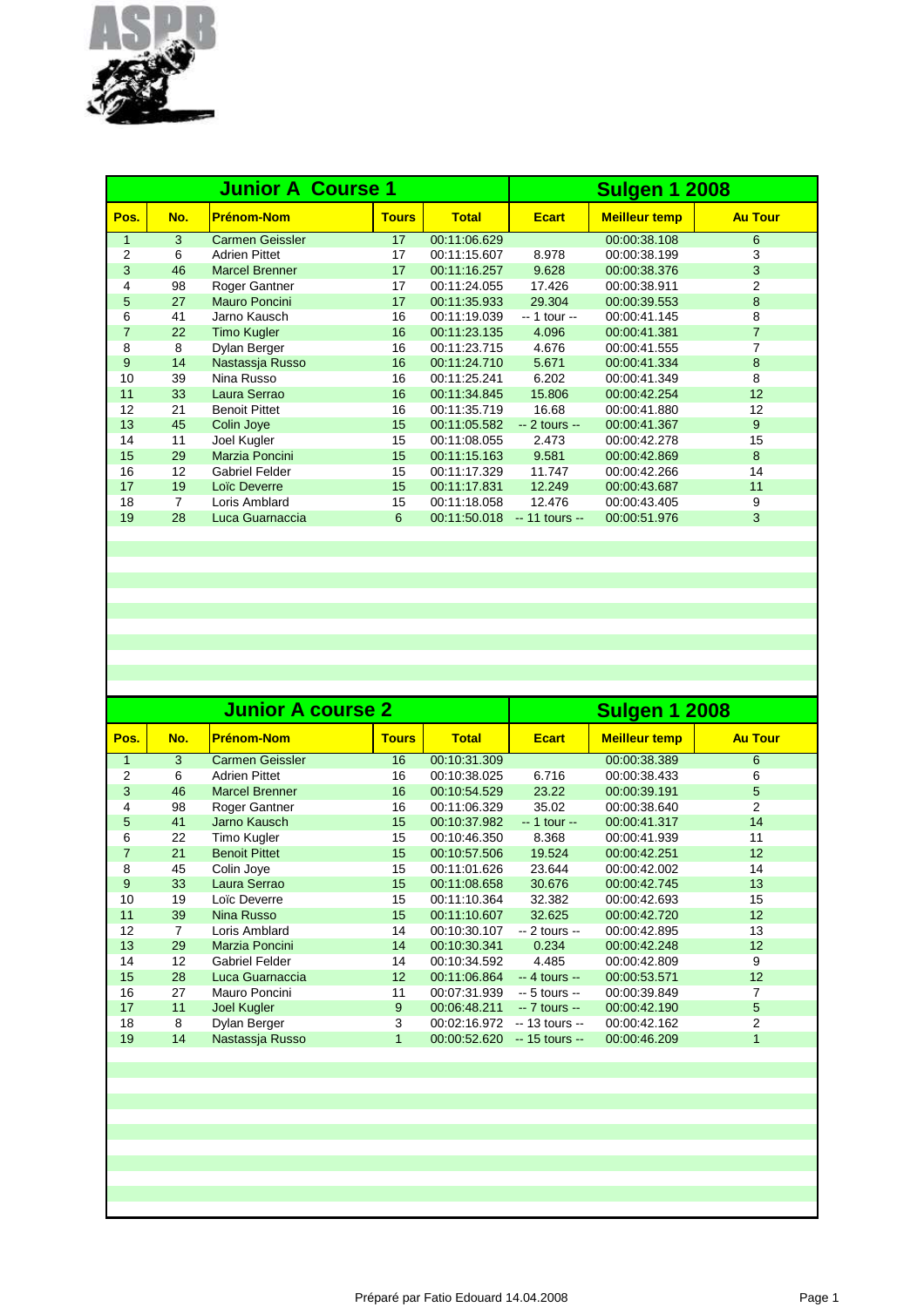

|                |                | <b>Junior A Course 1</b> |              |              | <b>Sulgen 1 2008</b> |                      |                |
|----------------|----------------|--------------------------|--------------|--------------|----------------------|----------------------|----------------|
| Pos.           | No.            | <b>Prénom-Nom</b>        | <b>Tours</b> | <b>Total</b> | <b>Ecart</b>         | <b>Meilleur temp</b> | <b>Au Tour</b> |
| $\mathbf{1}$   | 3              | <b>Carmen Geissler</b>   | 17           | 00:11:06.629 |                      | 00:00:38.108         | 6              |
| $\overline{2}$ | 6              | <b>Adrien Pittet</b>     | 17           | 00:11:15.607 | 8.978                | 00:00:38.199         | 3              |
| 3              | 46             | <b>Marcel Brenner</b>    | 17           | 00:11:16.257 | 9.628                | 00:00:38.376         | 3              |
| 4              | 98             | Roger Gantner            | 17           | 00:11:24.055 | 17.426               | 00:00:38.911         | 2              |
| 5              | 27             | Mauro Poncini            | 17           | 00:11:35.933 | 29.304               | 00:00:39.553         | 8              |
| 6              | 41             | Jarno Kausch             | 16           | 00:11:19.039 | -- 1 tour --         | 00:00:41.145         | 8              |
| $\overline{7}$ | 22             | <b>Timo Kugler</b>       | 16           | 00:11:23.135 | 4.096                | 00:00:41.381         | $\overline{7}$ |
| 8              | 8              | Dylan Berger             | 16           | 00:11:23.715 | 4.676                | 00:00:41.555         | 7              |
| 9              | 14             | Nastassja Russo          | 16           | 00:11:24.710 | 5.671                | 00:00:41.334         | 8              |
| 10             | 39             | Nina Russo               | 16           | 00:11:25.241 | 6.202                | 00:00:41.349         | 8              |
| 11             | 33             | Laura Serrao             | 16           | 00:11:34.845 | 15,806               | 00:00:42.254         | 12             |
| 12             | 21             | <b>Benoit Pittet</b>     | 16           | 00:11:35.719 | 16.68                | 00:00:41.880         | 12             |
| 13             | 45             | Colin Joye               | 15           | 00:11:05.582 | $-2$ tours $-$       | 00:00:41.367         | 9              |
| 14             | 11             | Joel Kugler              | 15           | 00:11:08.055 | 2.473                | 00:00:42.278         | 15             |
| 15             | 29             | Marzia Poncini           | 15           | 00:11:15.163 | 9.581                | 00:00:42.869         | 8              |
| 16             | 12             | <b>Gabriel Felder</b>    | 15           | 00:11:17.329 | 11.747               | 00:00:42.266         | 14             |
| 17             | 19             | Loic Deverre             | 15           | 00:11:17.831 | 12.249               | 00:00:43.687         | 11             |
| 18             | $\overline{7}$ | Loris Amblard            | 15           | 00:11:18.058 | 12.476               | 00:00:43.405         | 9              |
| 19             | 28             | Luca Guarnaccia          | 6            | 00:11:50.018 | $-11$ tours $-$      | 00:00:51.976         | 3              |
|                |                |                          |              |              |                      |                      |                |

|                |                | <b>Junior A course 2</b> | <b>Sulgen 1 2008</b> |              |                 |                      |                |
|----------------|----------------|--------------------------|----------------------|--------------|-----------------|----------------------|----------------|
| Pos.           | No.            | <b>Prénom-Nom</b>        | <b>Tours</b>         | <b>Total</b> | <b>Ecart</b>    | <b>Meilleur temp</b> | <b>Au Tour</b> |
| 1              | 3              | <b>Carmen Geissler</b>   | 16                   | 00:10:31.309 |                 | 00:00:38.389         | 6              |
| 2              | 6              | <b>Adrien Pittet</b>     | 16                   | 00:10:38.025 | 6.716           | 00:00:38.433         | 6              |
| 3              | 46             | <b>Marcel Brenner</b>    | 16                   | 00:10:54.529 | 23.22           | 00:00:39.191         | 5              |
| 4              | 98             | Roger Gantner            | 16                   | 00:11:06.329 | 35.02           | 00:00:38.640         | 2              |
| 5              | 41             | Jarno Kausch             | 15                   | 00:10:37.982 | $-1$ tour $-$   | 00:00:41.317         | 14             |
| 6              | 22             | Timo Kugler              | 15                   | 00:10:46.350 | 8.368           | 00:00:41.939         | 11             |
| $\overline{7}$ | 21             | <b>Benoit Pittet</b>     | 15                   | 00:10:57.506 | 19.524          | 00:00:42.251         | 12             |
| 8              | 45             | Colin Joye               | 15                   | 00:11:01.626 | 23.644          | 00:00:42.002         | 14             |
| 9              | 33             | Laura Serrao             | 15                   | 00:11:08.658 | 30.676          | 00:00:42.745         | 13             |
| 10             | 19             | Loïc Deverre             | 15                   | 00:11:10.364 | 32.382          | 00:00:42.693         | 15             |
| 11             | 39             | Nina Russo               | 15                   | 00:11:10.607 | 32.625          | 00:00:42.720         | 12             |
| 12             | $\overline{7}$ | Loris Amblard            | 14                   | 00:10:30.107 | $-2$ tours $-$  | 00:00:42.895         | 13             |
| 13             | 29             | Marzia Poncini           | 14                   | 00:10:30.341 | 0.234           | 00:00:42.248         | 12             |
| 14             | 12             | <b>Gabriel Felder</b>    | 14                   | 00:10:34.592 | 4.485           | 00:00:42.809         | 9              |
| 15             | 28             | Luca Guarnaccia          | 12 <sup>2</sup>      | 00:11:06.864 | $-4$ tours $-$  | 00:00:53.571         | 12             |
| 16             | 27             | Mauro Poncini            | 11                   | 00:07:31.939 | $-5$ tours $-$  | 00:00:39.849         | 7              |
| 17             | 11             | Joel Kugler              | 9                    | 00:06:48.211 | $-7$ tours $-$  | 00:00:42.190         | 5              |
| 18             | 8              | Dylan Berger             | 3                    | 00:02:16.972 | $-13$ tours $-$ | 00:00:42.162         | $\overline{2}$ |
| 19             | 14             | Nastassia Russo          | $\mathbf{1}$         | 00:00:52.620 | $-15$ tours $-$ | 00:00:46.209         | 1              |
|                |                |                          |                      |              |                 |                      |                |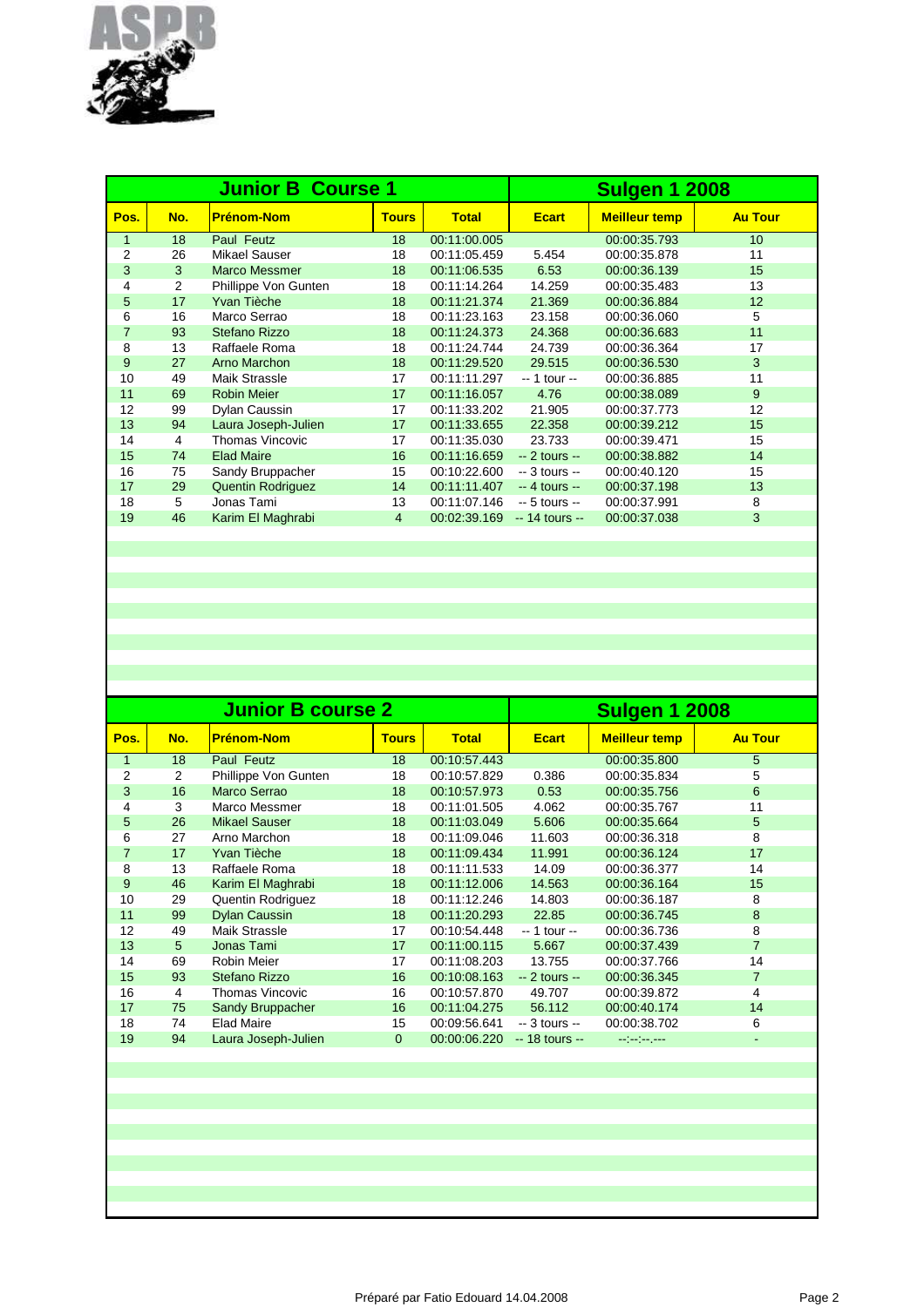

|                |     | <b>Junior B Course 1</b> | <b>Sulgen 1 2008</b> |              |                 |                      |                 |
|----------------|-----|--------------------------|----------------------|--------------|-----------------|----------------------|-----------------|
| Pos.           | No. | <b>Prénom-Nom</b>        | <b>Tours</b>         | <b>Total</b> | <b>Ecart</b>    | <b>Meilleur temp</b> | <b>Au Tour</b>  |
| $\mathbf{1}$   | 18  | Paul Feutz               | 18                   | 00:11:00.005 |                 | 00:00:35.793         | 10 <sup>°</sup> |
| $\overline{2}$ | 26  | <b>Mikael Sauser</b>     | 18                   | 00:11:05.459 | 5.454           | 00:00:35.878         | 11              |
| 3              | 3   | <b>Marco Messmer</b>     | 18                   | 00:11:06.535 | 6.53            | 00:00:36.139         | 15              |
| 4              | 2   | Phillippe Von Gunten     | 18                   | 00:11:14.264 | 14.259          | 00:00:35.483         | 13              |
| 5              | 17  | Yvan Tièche              | 18                   | 00:11:21.374 | 21.369          | 00:00:36.884         | 12              |
| 6              | 16  | Marco Serrao             | 18                   | 00:11:23.163 | 23.158          | 00:00:36.060         | 5               |
| $\overline{7}$ | 93  | Stefano Rizzo            | 18                   | 00:11:24.373 | 24.368          | 00:00:36.683         | 11              |
| 8              | 13  | Raffaele Roma            | 18                   | 00:11:24.744 | 24.739          | 00:00:36.364         | 17              |
| 9              | 27  | Arno Marchon             | 18                   | 00:11:29.520 | 29.515          | 00:00:36.530         | 3               |
| 10             | 49  | <b>Maik Strassle</b>     | 17                   | 00:11:11.297 | -- 1 tour --    | 00:00:36.885         | 11              |
| 11             | 69  | <b>Robin Meier</b>       | 17                   | 00:11:16.057 | 4.76            | 00:00:38.089         | 9               |
| 12             | 99  | Dylan Caussin            | 17                   | 00:11:33.202 | 21.905          | 00:00:37.773         | 12              |
| 13             | 94  | Laura Joseph-Julien      | 17                   | 00:11:33.655 | 22.358          | 00:00:39.212         | 15              |
| 14             | 4   | Thomas Vincovic          | 17                   | 00:11:35.030 | 23.733          | 00:00:39.471         | 15              |
| 15             | 74  | <b>Elad Maire</b>        | 16                   | 00:11:16.659 | $-2$ tours $-$  | 00:00:38.882         | 14              |
| 16             | 75  | Sandy Bruppacher         | 15                   | 00:10:22.600 | $-3$ tours $-$  | 00:00:40.120         | 15              |
| 17             | 29  | Quentin Rodriguez        | 14                   | 00:11:11.407 | $-4$ tours $-$  | 00:00:37.198         | 13              |
| 18             | 5   | Jonas Tami               | 13                   | 00:11:07.146 | $-5$ tours $-$  | 00:00:37.991         | 8               |
| 19             | 46  | Karim El Maghrabi        | $\overline{4}$       | 00:02:39.169 | $-14$ tours $-$ | 00:00:37.038         | 3               |
|                |     |                          |                      |              |                 |                      |                 |

|                |     | <b>Junior B course 2</b> | <b>Sulgen 1 2008</b> |              |                 |                      |                |
|----------------|-----|--------------------------|----------------------|--------------|-----------------|----------------------|----------------|
| Pos.           | No. | <b>Prénom-Nom</b>        | <b>Tours</b>         | <b>Total</b> | <b>Ecart</b>    | <b>Meilleur temp</b> | <b>Au Tour</b> |
| 1              | 18  | Paul Feutz               | 18                   | 00:10:57.443 |                 | 00:00:35.800         | 5              |
| 2              | 2   | Phillippe Von Gunten     | 18                   | 00:10:57.829 | 0.386           | 00:00:35.834         | 5              |
| 3              | 16  | <b>Marco Serrao</b>      | 18                   | 00:10:57.973 | 0.53            | 00:00:35.756         | 6              |
| 4              | 3   | Marco Messmer            | 18                   | 00:11:01.505 | 4.062           | 00:00:35.767         | 11             |
| 5              | 26  | <b>Mikael Sauser</b>     | 18                   | 00:11:03.049 | 5.606           | 00:00:35.664         | 5              |
| 6              | 27  | Arno Marchon             | 18                   | 00:11:09.046 | 11.603          | 00:00:36.318         | 8              |
| $\overline{7}$ | 17  | Yvan Tièche              | 18                   | 00:11:09.434 | 11.991          | 00:00:36.124         | 17             |
| 8              | 13  | Raffaele Roma            | 18                   | 00:11:11.533 | 14.09           | 00:00:36.377         | 14             |
| 9              | 46  | Karim El Maghrabi        | 18                   | 00:11:12.006 | 14.563          | 00:00:36.164         | 15             |
| 10             | 29  | <b>Quentin Rodriguez</b> | 18                   | 00:11:12.246 | 14.803          | 00:00:36.187         | 8              |
| 11             | 99  | <b>Dylan Caussin</b>     | 18                   | 00:11:20.293 | 22.85           | 00:00:36.745         | 8              |
| 12             | 49  | Maik Strassle            | 17                   | 00:10:54.448 | $-1$ tour $-$   | 00:00:36.736         | 8              |
| 13             | 5   | Jonas Tami               | 17                   | 00:11:00.115 | 5.667           | 00:00:37.439         | $\overline{7}$ |
| 14             | 69  | <b>Robin Meier</b>       | 17                   | 00:11:08.203 | 13.755          | 00:00:37.766         | 14             |
| 15             | 93  | Stefano Rizzo            | 16                   | 00:10:08.163 | $-2$ tours $-$  | 00:00:36.345         | 7              |
| 16             | 4   | Thomas Vincovic          | 16                   | 00:10:57.870 | 49.707          | 00:00:39.872         | 4              |
| 17             | 75  | Sandy Bruppacher         | 16                   | 00:11:04.275 | 56.112          | 00:00:40.174         | 14             |
| 18             | 74  | <b>Elad Maire</b>        | 15                   | 00:09:56.641 | $-3$ tours $-$  | 00:00:38.702         | 6              |
| 19             | 94  | Laura Joseph-Julien      | $\overline{0}$       | 00:00:06.220 | $-18$ tours $-$ | ستعرضه إستراسيا      |                |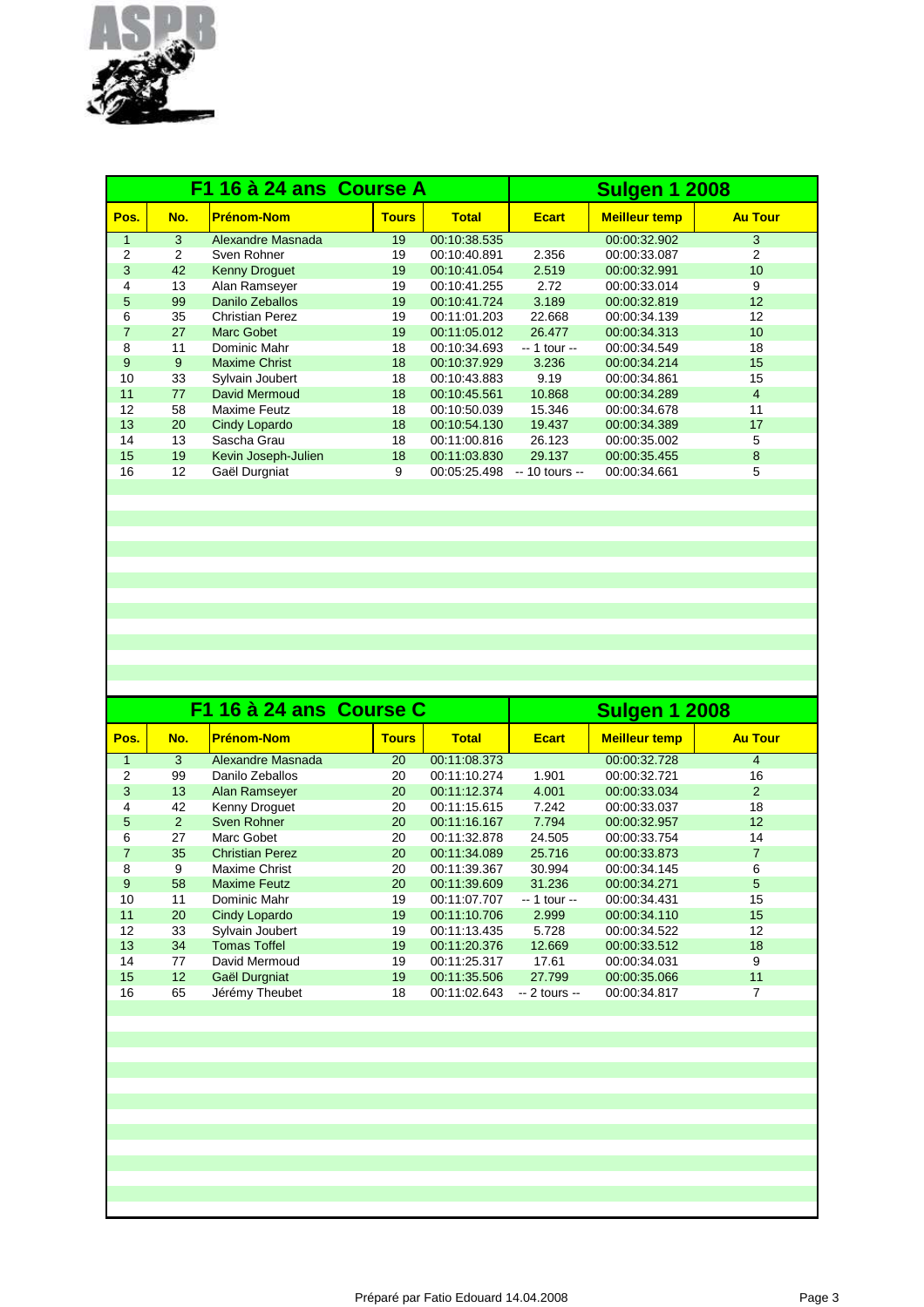

|      |     | F1 16 à 24 ans Course A | <b>Sulgen 1 2008</b> |              |                 |                      |                 |
|------|-----|-------------------------|----------------------|--------------|-----------------|----------------------|-----------------|
| Pos. | No. | <b>Prénom-Nom</b>       | <b>Tours</b>         | <b>Total</b> | <b>Ecart</b>    | <b>Meilleur temp</b> | <b>Au Tour</b>  |
| 1    | 3   | Alexandre Masnada       | 19                   | 00:10:38.535 |                 | 00:00:32.902         | 3               |
| 2    | 2   | Sven Rohner             | 19                   | 00:10:40.891 | 2.356           | 00:00:33.087         | 2               |
| 3    | 42  | <b>Kenny Droguet</b>    | 19                   | 00:10:41.054 | 2.519           | 00:00:32.991         | 10              |
| 4    | 13  | Alan Ramseyer           | 19                   | 00:10:41.255 | 2.72            | 00:00:33.014         | 9               |
| 5    | 99  | Danilo Zeballos         | 19                   | 00:10:41.724 | 3.189           | 00:00:32.819         | 12              |
| 6    | 35  | <b>Christian Perez</b>  | 19                   | 00:11:01.203 | 22.668          | 00:00:34.139         | 12              |
| 7    | 27  | <b>Marc Gobet</b>       | 19                   | 00:11:05.012 | 26.477          | 00:00:34.313         | 10 <sup>°</sup> |
| 8    | 11  | Dominic Mahr            | 18                   | 00:10:34.693 | -- 1 tour --    | 00:00:34.549         | 18              |
| 9    | 9   | <b>Maxime Christ</b>    | 18                   | 00:10:37.929 | 3.236           | 00:00:34.214         | 15              |
| 10   | 33  | Sylvain Joubert         | 18                   | 00:10:43.883 | 9.19            | 00:00:34.861         | 15              |
| 11   | 77  | David Mermoud           | 18                   | 00:10:45.561 | 10.868          | 00:00:34.289         | $\overline{4}$  |
| 12   | 58  | Maxime Feutz            | 18                   | 00:10:50.039 | 15.346          | 00:00:34.678         | 11              |
| 13   | 20  | Cindy Lopardo           | 18                   | 00:10:54.130 | 19.437          | 00:00:34.389         | 17              |
| 14   | 13  | Sascha Grau             | 18                   | 00:11:00.816 | 26.123          | 00:00:35.002         | 5               |
| 15   | 19  | Kevin Joseph-Julien     | 18                   | 00:11:03.830 | 29.137          | 00:00:35.455         | 8               |
| 16   | 12  | Gaël Durgniat           | 9                    | 00:05:25.498 | $-10$ tours $-$ | 00:00:34.661         | 5               |
|      |     |                         |                      |              |                 |                      |                 |

|      |                 | F1 16 à 24 ans Course C | <b>Sulgen 1 2008</b> |              |                |                      |                |
|------|-----------------|-------------------------|----------------------|--------------|----------------|----------------------|----------------|
| Pos. | No.             | <b>Prénom-Nom</b>       | <b>Tours</b>         | <b>Total</b> | <b>Ecart</b>   | <b>Meilleur temp</b> | <b>Au Tour</b> |
|      | 3               | Alexandre Masnada       | 20                   | 00:11:08.373 |                | 00:00:32.728         | $\overline{4}$ |
| 2    | 99              | Danilo Zeballos         | 20                   | 00:11:10.274 | 1.901          | 00:00:32.721         | 16             |
| 3    | 13              | Alan Ramseyer           | 20                   | 00:11:12.374 | 4.001          | 00:00:33.034         | 2              |
| 4    | 42              | Kenny Droquet           | 20                   | 00:11:15.615 | 7.242          | 00:00:33.037         | 18             |
| 5    | 2               | Sven Rohner             | 20                   | 00:11:16.167 | 7.794          | 00:00:32.957         | 12             |
| 6    | 27              | Marc Gobet              | 20                   | 00:11:32.878 | 24.505         | 00:00:33.754         | 14             |
| 7    | 35              | <b>Christian Perez</b>  | 20                   | 00:11:34.089 | 25.716         | 00:00:33.873         | $\overline{7}$ |
| 8    | 9               | Maxime Christ           | 20                   | 00:11:39.367 | 30.994         | 00:00:34.145         | 6              |
| 9    | 58              | <b>Maxime Feutz</b>     | 20                   | 00:11:39.609 | 31.236         | 00:00:34.271         | 5              |
| 10   | 11              | Dominic Mahr            | 19                   | 00:11:07.707 | -- 1 tour --   | 00:00:34.431         | 15             |
| 11   | 20              | Cindy Lopardo           | 19                   | 00:11:10.706 | 2.999          | 00:00:34.110         | 15             |
| 12   | 33              | Sylvain Joubert         | 19                   | 00:11:13.435 | 5.728          | 00:00:34.522         | 12             |
| 13   | 34              | <b>Tomas Toffel</b>     | 19                   | 00:11:20.376 | 12.669         | 00:00:33.512         | 18             |
| 14   | 77              | David Mermoud           | 19                   | 00:11:25.317 | 17.61          | 00:00:34.031         | 9              |
| 15   | 12 <sup>2</sup> | Gaël Durgniat           | 19                   | 00:11:35.506 | 27.799         | 00:00:35.066         | 11             |
| 16   | 65              | Jérémy Theubet          | 18                   | 00:11:02.643 | $-2$ tours $-$ | 00:00:34.817         | 7              |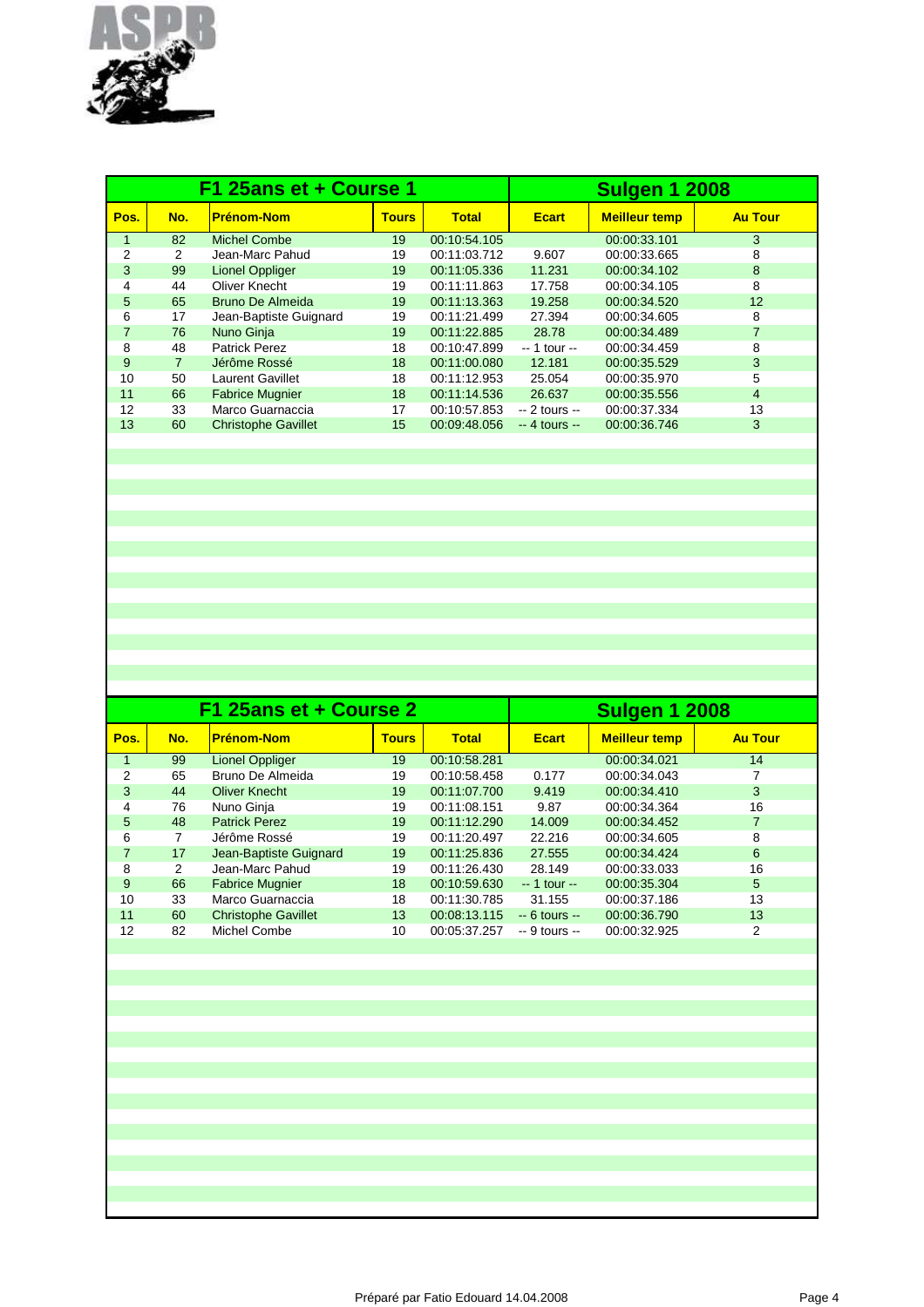

|              |                | F1 25ans et + Course 1     |              |              | <b>Sulgen 1 2008</b> |                      |                |  |
|--------------|----------------|----------------------------|--------------|--------------|----------------------|----------------------|----------------|--|
| Pos.         | No.            | <b>Prénom-Nom</b>          | <b>Tours</b> | <b>Total</b> | <b>Ecart</b>         | <b>Meilleur temp</b> | <b>Au Tour</b> |  |
| $\mathbf{1}$ | 82             | <b>Michel Combe</b>        | 19           | 00:10:54.105 |                      | 00:00:33.101         | 3              |  |
| 2            | 2              | Jean-Marc Pahud            | 19           | 00:11:03.712 | 9.607                | 00:00:33.665         | 8              |  |
| 3            | 99             | <b>Lionel Oppliger</b>     | 19           | 00:11:05.336 | 11.231               | 00:00:34.102         | 8              |  |
| 4            | 44             | Oliver Knecht              | 19           | 00:11:11.863 | 17.758               | 00:00:34.105         | 8              |  |
| 5            | 65             | <b>Bruno De Almeida</b>    | 19           | 00:11:13.363 | 19.258               | 00:00:34.520         | 12             |  |
| 6            | 17             | Jean-Baptiste Guignard     | 19           | 00:11:21.499 | 27.394               | 00:00:34.605         | 8              |  |
| 7            | 76             | Nuno Ginja                 | 19           | 00:11:22.885 | 28.78                | 00:00:34.489         | $\overline{7}$ |  |
| 8            | 48             | <b>Patrick Perez</b>       | 18           | 00:10:47.899 | $-1$ tour $-$        | 00:00:34.459         | 8              |  |
| 9            | $\overline{7}$ | Jérôme Rossé               | 18           | 00:11:00.080 | 12.181               | 00:00:35.529         | 3              |  |
| 10           | 50             | <b>Laurent Gavillet</b>    | 18           | 00:11:12.953 | 25.054               | 00:00:35.970         | 5              |  |
| 11           | 66             | <b>Fabrice Mugnier</b>     | 18           | 00:11:14.536 | 26.637               | 00:00:35.556         | $\overline{4}$ |  |
| 12           | 33             | Marco Guarnaccia           | 17           | 00:10:57.853 | $-2$ tours $-$       | 00:00:37.334         | 13             |  |
| 13           | 60             | <b>Christophe Gavillet</b> | 15           | 00:09:48.056 | $-4$ tours $-$       | 00:00:36.746         | 3              |  |
|              |                |                            |              |              |                      |                      |                |  |

|                |     | F1 25ans et + Course 2     | <b>Sulgen 1 2008</b> |              |                |                      |                |
|----------------|-----|----------------------------|----------------------|--------------|----------------|----------------------|----------------|
| Pos.           | No. | <b>Prénom-Nom</b>          | <b>Tours</b>         | <b>Total</b> | <b>Ecart</b>   | <b>Meilleur temp</b> | <b>Au Tour</b> |
|                | 99  | Lionel Oppliger            | 19                   | 00:10:58.281 |                | 00:00:34.021         | 14             |
| 2              | 65  | Bruno De Almeida           | 19                   | 00:10:58.458 | 0.177          | 00:00:34.043         | 7              |
| 3              | 44  | <b>Oliver Knecht</b>       | 19                   | 00:11:07.700 | 9.419          | 00:00:34.410         | 3              |
| 4              | 76  | Nuno Ginja                 | 19                   | 00:11:08.151 | 9.87           | 00:00:34.364         | 16             |
| 5              | 48  | <b>Patrick Perez</b>       | 19                   | 00:11:12.290 | 14.009         | 00:00:34.452         | $\overline{7}$ |
| 6              | 7   | Jérôme Rossé               | 19                   | 00:11:20.497 | 22.216         | 00:00:34.605         | 8              |
| $\overline{7}$ | 17  | Jean-Baptiste Guignard     | 19                   | 00:11:25.836 | 27.555         | 00:00:34.424         | 6              |
| 8              | 2   | Jean-Marc Pahud            | 19                   | 00:11:26.430 | 28.149         | 00:00:33.033         | 16             |
| 9              | 66  | <b>Fabrice Mugnier</b>     | 18                   | 00:10:59.630 | $-1$ tour $-$  | 00:00:35.304         | 5              |
| 10             | 33  | Marco Guarnaccia           | 18                   | 00:11:30.785 | 31.155         | 00:00:37.186         | 13             |
| 11             | 60  | <b>Christophe Gavillet</b> | 13                   | 00:08:13.115 | $-6$ tours $-$ | 00:00:36.790         | 13             |
| 12             | 82  | Michel Combe               | 10                   | 00:05:37.257 | $-9$ tours $-$ | 00:00:32.925         | 2              |